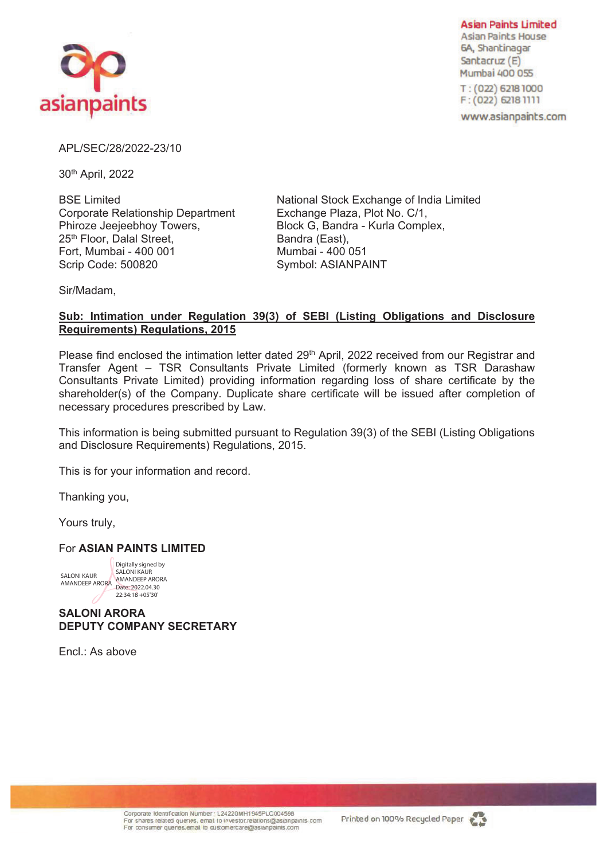

**Asian Paints Limited Asian Paints House** 6A, Shantinagar Santacruz (E) Mumbai 400 055

T: (022) 6218 1000  $F: (022)$  6218 1111

www.asianpaints.com

APL/SEC/28/2022-23/10

30th April, 2022

Corporate Relationship Department Exchange Plaza, Plot No. C/1, Phiroze Jeejeebhoy Towers, Block G, Bandra - Kurla Complex, 25<sup>th</sup> Floor, Dalal Street, Bandra (East), Fort, Mumbai - 400 001 Mumbai - 400 051 Scrip Code: 500820 Symbol: ASIANPAINT

BSE Limited **National Stock Exchange of India Limited** 

Sir/Madam,

## **Sub: Intimation under Regulation 39(3) of SEBI (Listing Obligations and Disclosure Requirements) Regulations, 2015**

Please find enclosed the intimation letter dated 29<sup>th</sup> April, 2022 received from our Registrar and Transfer Agent – TSR Consultants Private Limited (formerly known as TSR Darashaw Consultants Private Limited) providing information regarding loss of share certificate by the shareholder(s) of the Company. Duplicate share certificate will be issued after completion of necessary procedures prescribed by Law.

This information is being submitted pursuant to Regulation 39(3) of the SEBI (Listing Obligations and Disclosure Requirements) Regulations, 2015.

This is for your information and record.

Thanking you,

Yours truly,

## For **ASIAN PAINTS LIMITED**

SALONI KAUR<br>AMANDEEP ARORA AMANDEEP ARORA Digitally signed by SALONI KALIR 22:34:18 +05'30'

**SALONI ARORA DEPUTY COMPANY SECRETARY** 

 $FncI \cdot As above$ 

Corporate Identification Number : L24220MH1945PLC004598<br>For shares related queries, email to investor relations@asianpaints com For consumer quenes, email to customercare@asianpaints.com

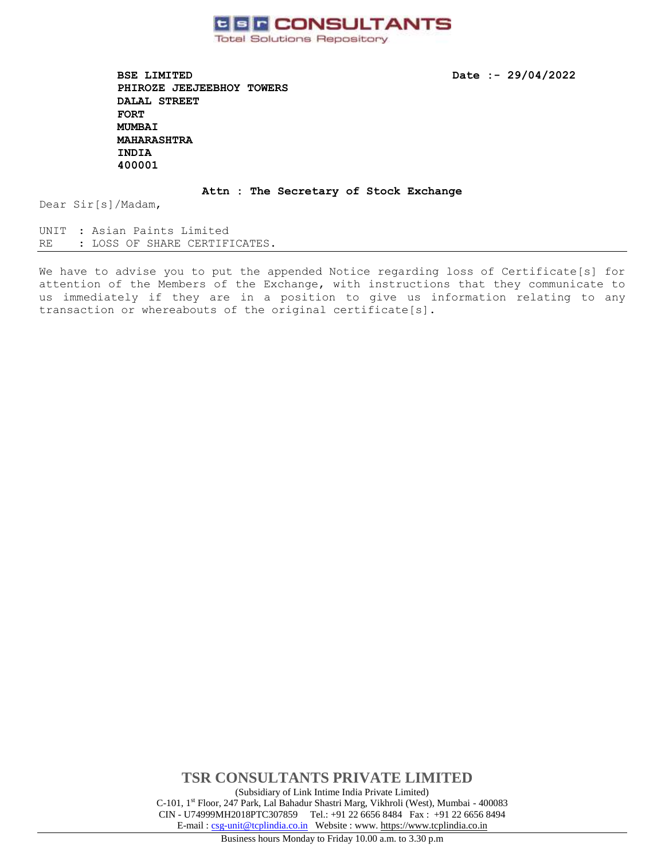

**BSE LIMITED** Date :- 29/04/2022 **PHIROZE JEEJEEBHOY TOWERS DALAL STREET FORT MUMBAI MAHARASHTRA INDIA 400001** 

## **Attn : The Secretary of Stock Exchange**

Dear Sir[s]/Madam,

UNIT : Asian Paints Limited RE : LOSS OF SHARE CERTIFICATES.

We have to advise you to put the appended Notice regarding loss of Certificate[s] for attention of the Members of the Exchange, with instructions that they communicate to us immediately if they are in a position to give us information relating to any transaction or whereabouts of the original certificate[s].

> **TSR CONSULTANTS PRIVATE LIMITED** (Subsidiary of Link Intime India Private Limited) C-101, 1st Floor, 247 Park, Lal Bahadur Shastri Marg, Vikhroli (West), Mumbai - 400083 CIN - U74999MH2018PTC307859Tel.: +91 22 6656 8484 Fax : +91 22 6656 8494 E-mail [: csg-unit@tcplindia.co.in](mailto:csg-unit@tcplindia.co.in) Website : www. [https://www.tcplindia.co.in](http://www.tsrdarashaw.com/)

Business hours Monday to Friday 10.00 a.m. to 3.30 p.m